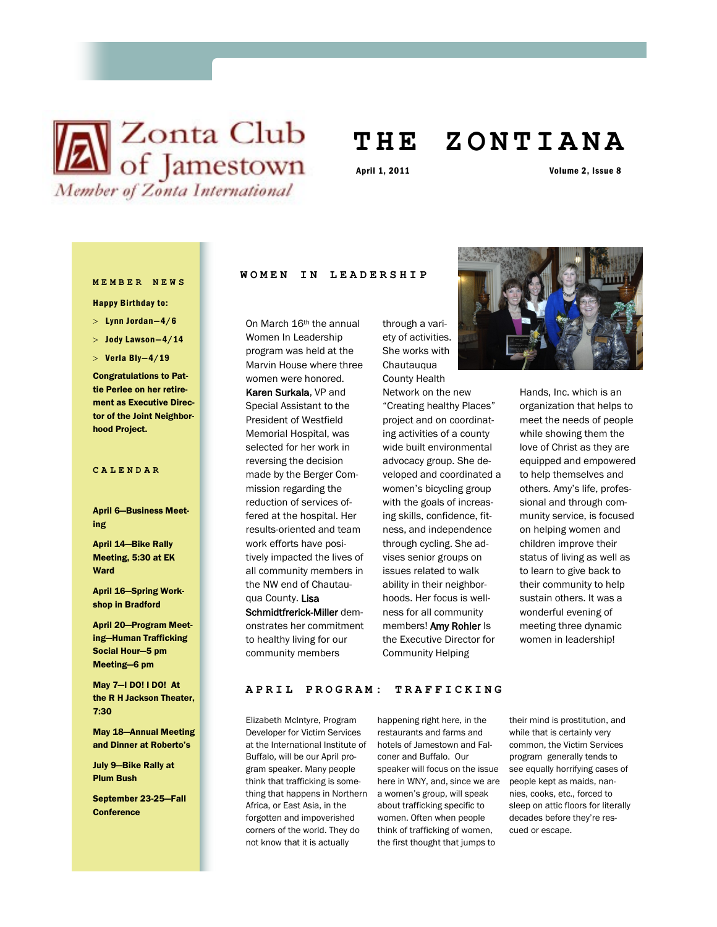# **N** Zonta Club<br>of Jamestown Member of Zonta International

## **T H E Z O N T I A N A**

April 1, 2011 Volume 2, Issue 8

### **MEMBER NEWS**

Happy Birthday to:

- $>$  Lynn Jordan-4/6
- $>$  Jody Lawson $-4/14$
- $>$  Verla Bly-4/19

Congratulations to Pattie Perlee on her retirement as Executive Director of the Joint Neighborhood Project.

### **CALENDAR**

April 6—Business Meeting

April 14—Bike Rally Meeting, 5:30 at EK Ward

April 16—Spring Workshop in Bradford

April 20—Program Meeting—Human Trafficking Social Hour—5 pm Meeting—6 pm

May 7—I DO! I DO! At the R H Jackson Theater, 7:30

May 18—Annual Meeting and Dinner at Roberto's

July 9—Bike Rally at Plum Bush

September 23-25—Fall **Conference** 

### **WOMEN IN LEADERSHIP**

On March 16<sup>th</sup> the annual Women In Leadership program was held at the Marvin House where three women were honored. Karen Surkala, VP and Special Assistant to the President of Westfield Memorial Hospital, was selected for her work in reversing the decision made by the Berger Commission regarding the reduction of services offered at the hospital. Her results-oriented and team work efforts have positively impacted the lives of all community members in the NW end of Chautauqua County. Lisa Schmidtfrerick-Miller demonstrates her commitment to healthy living for our community members

through a variety of activities. She works with **Chautauqua** County Health

Network on the new "Creating healthy Places" project and on coordinating activities of a county wide built environmental advocacy group. She developed and coordinated a women's bicycling group with the goals of increasing skills, confidence, fitness, and independence through cycling. She advises senior groups on issues related to walk ability in their neighborhoods. Her focus is wellness for all community members! Amy Rohler Is the Executive Director for Community Helping



Hands, Inc. which is an organization that helps to meet the needs of people while showing them the love of Christ as they are equipped and empowered to help themselves and others. Amy's life, professional and through community service, is focused on helping women and children improve their status of living as well as to learn to give back to their community to help sustain others. It was a wonderful evening of meeting three dynamic women in leadership!

### **APRIL PROGRAM: TRAFF I C K I N G**

Elizabeth McIntyre, Program Developer for Victim Services at the International Institute of Buffalo, will be our April program speaker. Many people think that trafficking is something that happens in Northern a women's group, will speak Africa, or East Asia, in the forgotten and impoverished corners of the world. They do not know that it is actually

happening right here, in the restaurants and farms and hotels of Jamestown and Falconer and Buffalo. Our speaker will focus on the issue here in WNY, and, since we are people kept as maids, nanabout trafficking specific to women. Often when people think of trafficking of women, the first thought that jumps to

their mind is prostitution, and while that is certainly very common, the Victim Services program generally tends to see equally horrifying cases of nies, cooks, etc., forced to sleep on attic floors for literally decades before they're rescued or escape.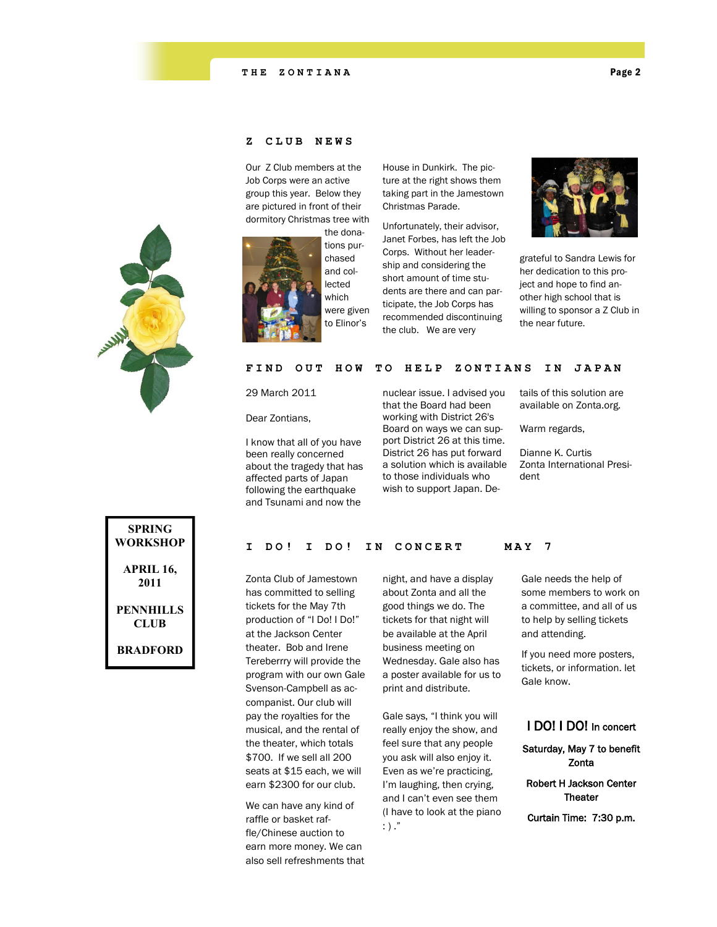

### **Z C L U B N E W S**

Our Z Club members at the Job Corps were an active group this year. Below they are pictured in front of their dormitory Christmas tree with



the donations purchased and collected which were given to Elinor's

House in Dunkirk. The picture at the right shows them taking part in the Jamestown Christmas Parade.

Unfortunately, their advisor, Janet Forbes, has left the Job Corps. Without her leadership and considering the short amount of time students are there and can participate, the Job Corps has recommended discontinuing the club. We are very



grateful to Sandra Lewis for her dedication to this project and hope to find another high school that is willing to sponsor a Z Club in the near future.

### FIND OUT HOW TO HELP ZONTIANS IN JAPAN

29 March 2011

Dear Zontians,

I know that all of you have been really concerned about the tragedy that has affected parts of Japan following the earthquake and Tsunami and now the

nuclear issue. I advised you that the Board had been working with District 26's Board on ways we can support District 26 at this time. District 26 has put forward a solution which is available to those individuals who wish to support Japan. Details of this solution are available on Zonta.org.

Warm regards,

Dianne K. Curtis Zonta International President

| SPRING<br>WORKSHOP       |
|--------------------------|
| APRIL 16,<br>2011        |
| <b>PENNHILLS</b><br>CLUB |
| <b><i>RRADFORD</i></b>   |

### I DO! I DO! IN CONCERT MAY 7

Zonta Club of Jamestown has committed to selling tickets for the May 7th production of "I Do! I Do!" at the Jackson Center theater. Bob and Irene Tereberrry will provide the program with our own Gale Svenson-Campbell as accompanist. Our club will pay the royalties for the musical, and the rental of the theater, which totals \$700. If we sell all 200 seats at \$15 each, we will earn \$2300 for our club.

We can have any kind of raffle or basket raffle/Chinese auction to earn more money. We can also sell refreshments that night, and have a display about Zonta and all the good things we do. The tickets for that night will be available at the April business meeting on Wednesday. Gale also has a poster available for us to print and distribute.

Gale says, "I think you will really enjoy the show, and feel sure that any people you ask will also enjoy it. Even as we're practicing, I'm laughing, then crying, and I can't even see them (I have to look at the piano  $\cdot$ )  $\cdot$ 

Gale needs the help of some members to work on a committee, and all of us to help by selling tickets and attending.

If you need more posters, tickets, or information. let Gale know.

### I DO! I DO! In concert

Saturday, May 7 to benefit Zonta

Robert H Jackson Center **Theater** 

Curtain Time: 7:30 p.m.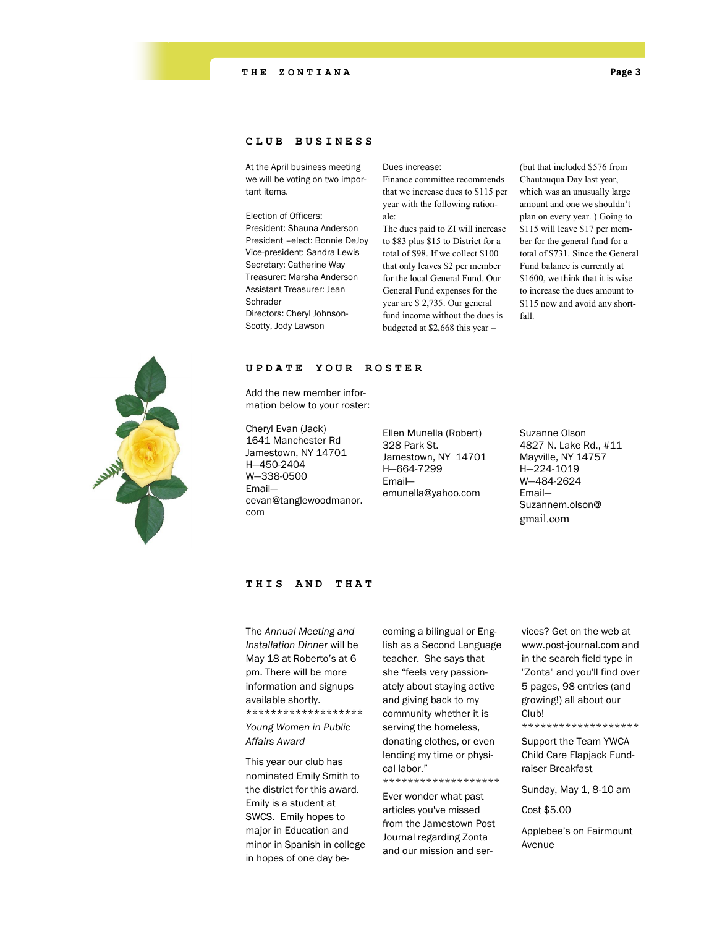### **CLUB BUSINESS**

At the April business meeting we will be voting on two important items.

Election of Officers: President: Shauna Anderson President –elect: Bonnie DeJoy Vice-president: Sandra Lewis Secretary: Catherine Way Treasurer: Marsha Anderson Assistant Treasurer: Jean Schrader Directors: Cheryl Johnson-Scotty, Jody Lawson

### Dues increase:

Finance committee recommends that we increase dues to \$115 per year with the following rationale:

The dues paid to ZI will increase to \$83 plus \$15 to District for a total of \$98. If we collect \$100 that only leaves \$2 per member for the local General Fund. Our General Fund expenses for the year are \$ 2,735. Our general fund income without the dues is budgeted at \$2,668 this year –

(but that included \$576 from Chautauqua Day last year, which was an unusually large amount and one we shouldn't plan on every year. ) Going to \$115 will leave \$17 per member for the general fund for a total of \$731. Since the General Fund balance is currently at \$1600, we think that it is wise to increase the dues amount to \$115 now and avoid any shortfall.



### **UPDATE Y O U R R O S T E R**

Add the new member information below to your roster:

Cheryl Evan (Jack) 1641 Manchester Rd Jamestown, NY 14701 H—450-2404 W—338-0500 Email cevan@tanglewoodmanor. com

Ellen Munella (Robert) 328 Park St. Jamestown, NY 14701 H—664-7299 Email emunella@yahoo.com

Suzanne Olson 4827 N. Lake Rd., #11 Mayville, NY 14757 H—224-1019 W—484-2624 Email— Suzannem.olson@ gmail.com

### **THIS A N D T H A T**

The *Annual Meeting and Installation Dinner* will be May 18 at Roberto's at 6 pm. There will be more information and signups available shortly. \*\*\*\*\*\*\*\*\*\*\*\*\*\*\*\*\*\*\*

*Young Women in Public Affairs Award*

This year our club has nominated Emily Smith to the district for this award. Emily is a student at SWCS. Emily hopes to major in Education and minor in Spanish in college in hopes of one day becoming a bilingual or English as a Second Language teacher. She says that she "feels very passionately about staying active and giving back to my community whether it is serving the homeless, donating clothes, or even lending my time or physical labor."

Ever wonder what past articles you've missed from the Jamestown Post Journal regarding Zonta and our mission and ser-

\*\*\*\*\*\*\*\*\*\*\*\*\*\*\*\*\*\*\*

vices? Get on the web at www.post-journal.com and in the search field type in "Zonta" and you'll find over 5 pages, 98 entries (and growing!) all about our Club!

\*\*\*\*\*\*\*\*\*\*\*\*\*\*\*\*\*\*\*

Support the Team YWCA Child Care Flapjack Fundraiser Breakfast

Sunday, May 1, 8-10 am

Cost \$5.00

Applebee's on Fairmount Avenue